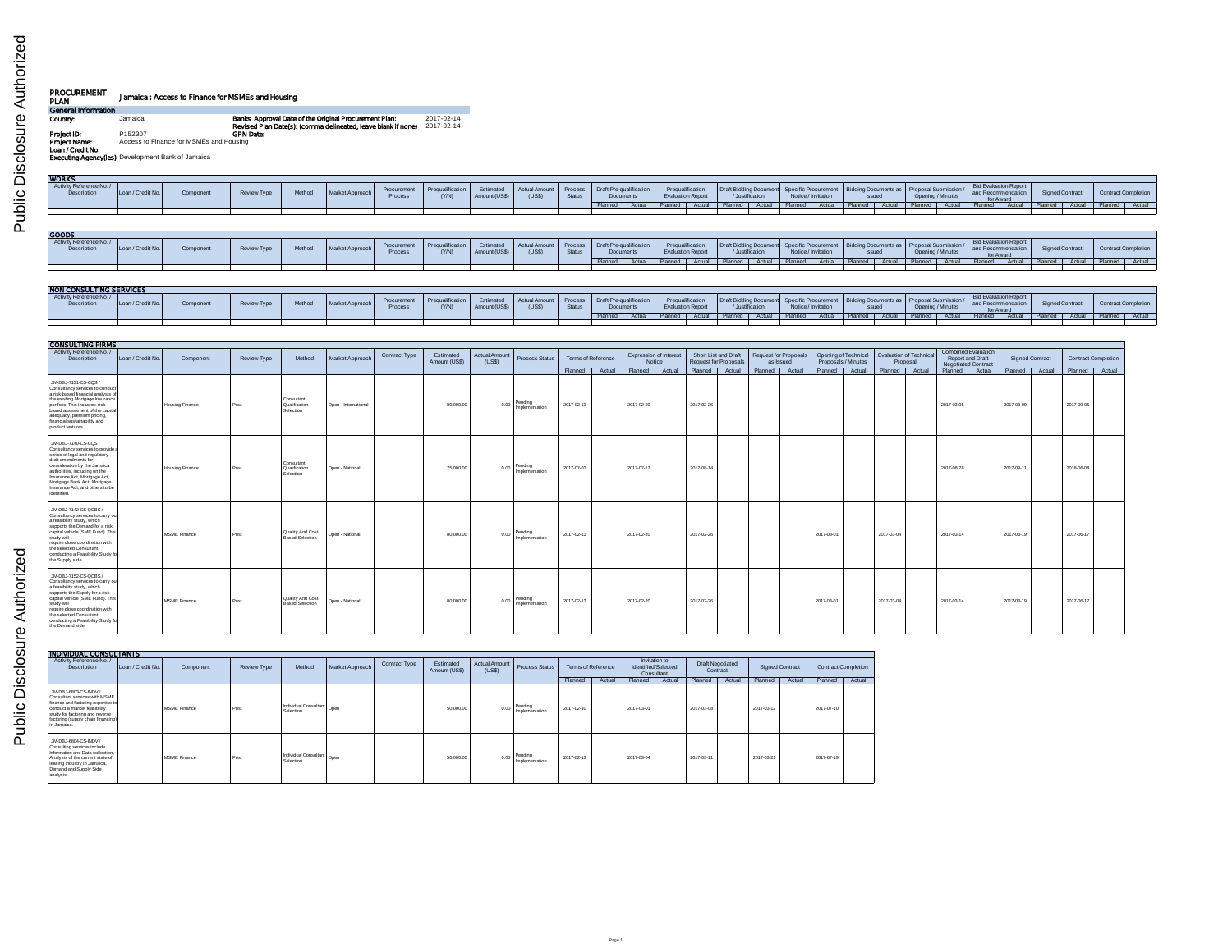| PROCUREMENT<br>PLAN                | Jamaica: Access to Finance for MSMEs and Housing  |                                                                                                                        |                          |
|------------------------------------|---------------------------------------------------|------------------------------------------------------------------------------------------------------------------------|--------------------------|
| General Information                |                                                   |                                                                                                                        |                          |
| Country:                           | Jamaica                                           | Banks Approval Date of the Original Procurement Plan:<br>Revised Plan Date(s): (comma delineated, leave blank if none) | 2017-02-14<br>2017-02-14 |
| Project ID:                        | P152307                                           | <b>GPN Date:</b>                                                                                                       |                          |
| Project Name:<br>Loan / Credit No: | Access to Finance for MSMEs and Housing           |                                                                                                                        |                          |
|                                    | Executing Agencyflest Development Bank of Jamaica |                                                                                                                        |                          |

| <b>WORKS</b>                                  |                   |           |             |        |                 |                        |                          |                            |                              |                         |                                      |                                      |                |                                              |                        |                                          |                                             |        |                |        |                                                                 |        |                                                          |  |                                                          |        |                            |        |                            |  |
|-----------------------------------------------|-------------------|-----------|-------------|--------|-----------------|------------------------|--------------------------|----------------------------|------------------------------|-------------------------|--------------------------------------|--------------------------------------|----------------|----------------------------------------------|------------------------|------------------------------------------|---------------------------------------------|--------|----------------|--------|-----------------------------------------------------------------|--------|----------------------------------------------------------|--|----------------------------------------------------------|--------|----------------------------|--------|----------------------------|--|
| Activity Reference No./<br>Description        | Loan / Credit No. | Component | Review Type | Method | Market Approach | Procurement<br>Process | Pregualification<br>(YM) | Estimated<br>Amount (US\$) | <b>Actual Amoun</b><br>(USS) | Proces<br><b>Status</b> | Draft Pre-qualification<br>Documents |                                      |                | Pregualification<br><b>Evaluation Report</b> |                        | Draft Bidding Document<br>/Justification | Specific Procurement<br>Notice / Invitation |        | <b>Issued</b>  |        | Bidding Documents as   Proposal Submission<br>Opening / Minutes |        | Bid Evaluation Report<br>and Recommendation<br>for Award |  | <b>Signed Contract</b>                                   |        | <b>Contract Completion</b> |        |                            |  |
|                                               |                   |           |             |        |                 |                        |                          |                            |                              |                         | Planned                              | Actual                               | Planned        | <b>Actual</b>                                |                        | Actual                                   |                                             | Actual | Planned        | Actual | Planned I                                                       | Actual | Planned Actual                                           |  |                                                          | Actual |                            | Actual |                            |  |
|                                               |                   |           |             |        |                 |                        |                          |                            |                              |                         |                                      |                                      |                |                                              |                        |                                          |                                             |        |                |        |                                                                 |        |                                                          |  |                                                          |        |                            |        |                            |  |
| GOODS                                         |                   |           |             |        |                 |                        |                          |                            |                              |                         |                                      |                                      |                |                                              |                        |                                          |                                             |        |                |        |                                                                 |        |                                                          |  |                                                          |        |                            |        |                            |  |
| Activity Reference No./<br><b>Description</b> | Loan / Credit No. | Component | Review Type | Method | Market Approach | Procurement<br>Process | Prequalification<br>(YM) | Estimated<br>Amount (US\$  | Actual Amoun<br>(USS)        | Process<br>Status       |                                      | Draft Pre-qualification<br>Documents |                | Pregualification<br><b>Evaluation Report</b> | Draft Bidding Document | /Justification                           | Specific Procurement<br>Notice / Invitation |        |                |        | Bidding Documents as   Proposal Submission<br><b>Issued</b>     |        | Opening / Minutes                                        |  | Bid Evaluation Report<br>and Recommendation<br>for Award |        | <b>Signed Contract</b>     |        | <b>Contract Completion</b> |  |
|                                               |                   |           |             |        |                 |                        |                          |                            |                              |                         | Planned                              | Actual                               | Planned Actual |                                              | Planned Actual         |                                          |                                             | Actual | Planned Actual |        | Planned T                                                       | Actual | Planned Actual                                           |  | Planned Actual                                           |        | Planned I                  | Actual |                            |  |

| <b>NON CONSULTING SERVICES</b>        |                   |           |             |        |                 |                        |                         |                           |                                                        |               |           |        |            |                                              |                |                     |                                                                                                                       |       |               |       |         |                   |                                                                     |        |               |        |                            |                |
|---------------------------------------|-------------------|-----------|-------------|--------|-----------------|------------------------|-------------------------|---------------------------|--------------------------------------------------------|---------------|-----------|--------|------------|----------------------------------------------|----------------|---------------------|-----------------------------------------------------------------------------------------------------------------------|-------|---------------|-------|---------|-------------------|---------------------------------------------------------------------|--------|---------------|--------|----------------------------|----------------|
| Activity Reference No./<br>Descriptio | Loan / Credit No. | Component | Review Type | Method | Market Approach | Procurement<br>Proces: | Pregualification<br>NAN | Estimated<br>Amount (USS) | Actual Amount Process Draft Pre-qualification<br>(USS) | <b>Status</b> | Document. |        |            | Pregualification<br><b>Evaluation Report</b> |                | <b>Ustification</b> | Draft Bidding Document   Specific Procurement   Bidding Documents as   Proposal Submission /  <br>Notice / Invitation |       | <b>Issued</b> |       |         | Opening / Minutes | <b>Bid Evaluation Report</b><br>and Recommendation<br><b>OF AWG</b> |        | Signed Contra |        | <b>Contract Completion</b> |                |
|                                       |                   |           |             |        |                 |                        |                         |                           |                                                        |               |           | Actual | Planned 4. |                                              | Actual Planned | Actual              | Planned                                                                                                               | Actua | Planned       | Actua | Planned | Actual            | Planned                                                             | Actual | I Planned I   | Actual |                            | Planned Actual |
|                                       |                   |           |             |        |                 |                        |                         |                           |                                                        |               |           |        |            |                                              |                |                     |                                                                                                                       |       |               |       |         |                   |                                                                     |        |               |        |                            |                |

| <b>CONSULTING FIRMS</b>                                                                                                                                                                                                                                                                               |                  |                        |                    |                                             |                      |               |                            |                                |                           |                         |                                         |                                                                                                                                       |                                    |            |                                             |                                            |                                                                              |                        |                            |  |
|-------------------------------------------------------------------------------------------------------------------------------------------------------------------------------------------------------------------------------------------------------------------------------------------------------|------------------|------------------------|--------------------|---------------------------------------------|----------------------|---------------|----------------------------|--------------------------------|---------------------------|-------------------------|-----------------------------------------|---------------------------------------------------------------------------------------------------------------------------------------|------------------------------------|------------|---------------------------------------------|--------------------------------------------|------------------------------------------------------------------------------|------------------------|----------------------------|--|
| Activity Reference No./<br><b>Description</b>                                                                                                                                                                                                                                                         | Loan / Credit No | Component              | <b>Review Type</b> | Method                                      | Market Approach      | Contract Type | Estimated<br>Amount (US\$) | <b>Actual Amount</b><br>(US\$) | <b>Process Status</b>     | Terms of Reference      | <b>Expression of Interest</b><br>Notice | Short List and Draft<br><b>Request for Proposals</b>                                                                                  | Request for Proposals<br>as Issued |            | Opening of Technical<br>Proposals / Minutes | <b>Evaluation of Technical</b><br>Proposal | <b>Combined Evaluation</b><br>Report and Draft<br><b>Negotiated Contract</b> | <b>Signed Contract</b> | <b>Contract Completion</b> |  |
| JM-DBJ-7131-CS-CQS /<br>Consultancy services to conduct<br>a risk-based financial analysis of<br>the existing Mortgage Insurance<br>portfolio. This includes: risk-<br>based assessment of the capital<br>adequacy, premium pricing<br>financial sustainability and<br>product features.              |                  | Housing Finance        | Post               | Consultant<br>Qualification<br>Selection    | Open - International |               | 80,000.00                  | 0.00                           | Pendina<br>Implementation | Planned  <br>2017-02-13 | Actual Planned Actual<br>2017-02-20     | Planned Actual Planned Actual Planned Actual Planned Actual Planned Actual Planned Actual Planned Actual Planned Actual<br>2017-02-26 |                                    |            |                                             |                                            | 2017-03-05                                                                   | 2017-03-09             | 2017-09-05                 |  |
| JM-DBJ-7140-CS-CQS /<br>Consultancy services to provide a<br>series of legal and regulatory<br>draft amendments for<br>consideration by the Jamaica<br>authorities, including on the<br>Insurance Act. Mortgage Act.<br>Mortgage Bank Act, Mortgage<br>Insurance Act, and others to be<br>identified. |                  | <b>Housing Finance</b> | Post               | Consultant<br>Qualification<br>Selection    | Open - National      |               | 75,000.00                  | 0.00                           | Pending<br>Implementation | 2017-07-03              | 2017-07-17                              | 2017-08-14                                                                                                                            |                                    |            |                                             |                                            | 2017-08-28                                                                   | 2017-09-11             | 2018-06-08                 |  |
| JM-DBJ-7142-CS-QCBS /<br>Consultancy services to carry out<br>a feasibility study, which<br>supports the Demand for a risk<br>capital vehicle (SME Fund). This<br>study will<br>require close coordination with<br>the selected Consultant<br>conducting a Feasibility Study for<br>the Supply side.  |                  | MSME Finance           | Post               | Quality And Cost-<br><b>Based Selection</b> | Open - National      |               | 80,000.00                  | 0.00                           | Pending<br>Implementation | 2017-02-13              | 2017-02-20                              | 2017-02-26                                                                                                                            |                                    | 2017-03-01 |                                             | 2017-03-04                                 | 2017-03-14                                                                   | 2017-03-19             | 2017-06-17                 |  |
| JM-DBJ-7152-CS-QCBS<br>Consultancy services to carry out<br>a feasibility study, which<br>supports the Supply for a risk<br>capital vehicle (SME Fund). This<br>study will<br>require close coordination with<br>the selected Consultant<br>conducting a Feasibility Study for<br>the Demand side.    |                  | MSME Finance           | Post               | Quality And Cost-<br><b>Based Selection</b> | Open - National      |               | 80,000.00                  | 0.00                           | Pending<br>Implementation | 2017-02-13              | 2017-02-20                              | 2017-02-26                                                                                                                            |                                    | 2017-03-01 |                                             | 2017-03-04                                 | 2017-03-14                                                                   | 2017-03-19             | 2017-06-17                 |  |

| INDIVIDUAL CONSULTANTS                                                                                                                                                                                               |                   |              |                    |                                    |                 |               |                            |                         |                           |                    |        |                                                    |        |                                     |        |                 |        |                            |        |
|----------------------------------------------------------------------------------------------------------------------------------------------------------------------------------------------------------------------|-------------------|--------------|--------------------|------------------------------------|-----------------|---------------|----------------------------|-------------------------|---------------------------|--------------------|--------|----------------------------------------------------|--------|-------------------------------------|--------|-----------------|--------|----------------------------|--------|
| Activity Reference No./<br>Description                                                                                                                                                                               | Loan / Credit No. | Component    | <b>Review Type</b> | Method                             | Market Approach | Contract Type | Estimated<br>Amount (US\$) | Actual Amount<br>(US\$) | <b>Process Status</b>     | Terms of Reference |        | Invitation to<br>Identified/Selected<br>Consultant |        | <b>Draft Negotiated</b><br>Contract |        | Signed Contract |        | <b>Contract Completion</b> |        |
|                                                                                                                                                                                                                      |                   |              |                    |                                    |                 |               |                            |                         |                           | Planned            | Actual | Planned                                            | Actual | Planned                             | Actual | Planned         | Actual | Planned                    | Actual |
| JM-DBJ-6803-CS-INDV /<br>Consultant services with MSME<br>finance and factoring expertise to<br>conduct a market feasibility<br>study for factoring and reverse<br>factoring (supply chain financing)<br>in Jamaica. |                   | MSME Finance | Post               | Individual Consultant<br>Selection |                 |               | 50,000.00                  | 0.00                    | Pending<br>Implementation | 2017-02-10         |        | 2017-03-01                                         |        | 2017-03-08                          |        | 2017-03-12      |        | 2017-07-10                 |        |
| JM-DBJ-6804-CS-INDV /<br>Consulting services include<br>Information and Data collection.<br>Analysis of the current state of<br>leasing industry in Jamaica,<br>Demand and Supply Side<br>analysis                   |                   | MSME Finance | Post               | Individual Consultant<br>Selection | Open            |               | 50,000.00                  | 0.00                    | Pendina<br>Implementation | 2017-02-13         |        | 2017-03-04                                         |        | 2017-03-11                          |        | 2017-03-21      |        | 2017-07-19                 |        |